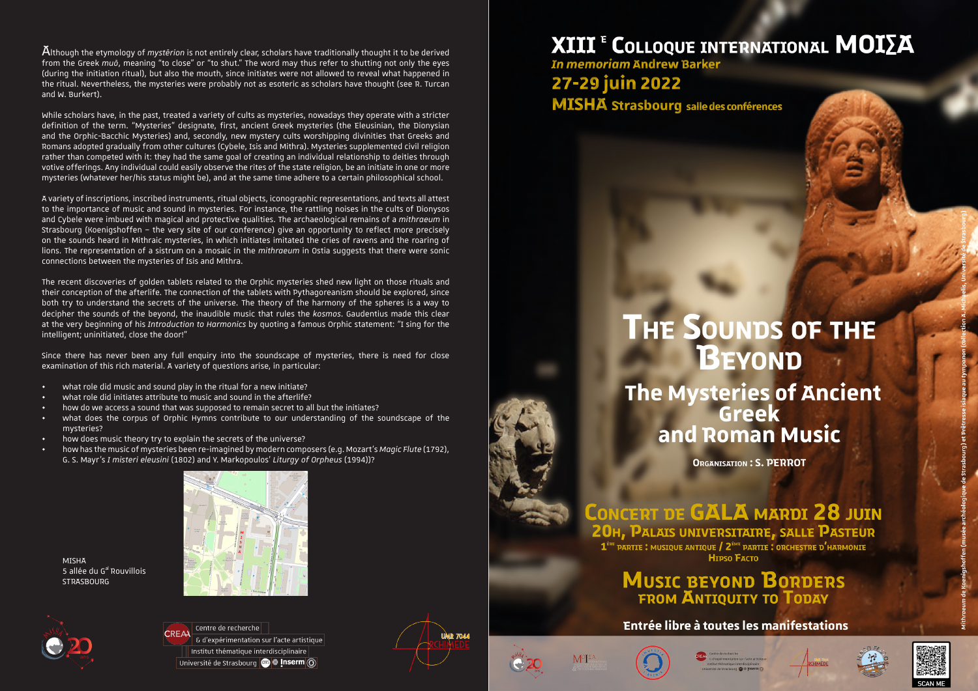Although the etymology of *mystērion* is not entirely clear, scholars have traditionally thought it to be derived from the Greek *muō*, meaning "to close" or "to shut." The word may thus refer to shutting not only the eyes (during the initiation ritual), but also the mouth, since initiates were not allowed to reveal what happened in the ritual. Nevertheless, the mysteries were probably not as esoteric as scholars have thought (see R. Turcan and W. Burkert).

While scholars have, in the past, treated a variety of cults as mysteries, nowadays they operate with a stricter definition of the term. "Mysteries" designate, first, ancient Greek mysteries (the Eleusinian, the Dionysian and the Orphic-Bacchic Mysteries) and, secondly, new mystery cults worshipping divinities that Greeks and Romans adopted gradually from other cultures (Cybele, Isis and Mithra). Mysteries supplemented civil religion rather than competed with it: they had the same goal of creating an individual relationship to deities through votive offerings. Any individual could easily observe the rites of the state religion, be an initiate in one or more mysteries (whatever her/his status might be), and at the same time adhere to a certain philosophical school.

A variety of inscriptions, inscribed instruments, ritual objects, iconographic representations, and texts all attest to the importance of music and sound in mysteries. For instance, the rattling noises in the cults of Dionysos and Cybele were imbued with magical and protective qualities. The archaeological remains of a *mithraeum* in Strasbourg (Koenigshoffen – the very site of our conference) give an opportunity to reflect more precisely on the sounds heard in Mithraic mysteries, in which initiates imitated the cries of ravens and the roaring of lions. The representation of a sistrum on a mosaic in the *mithraeum* in Ostia suggests that there were sonic connections between the mysteries of Isis and Mithra.

The recent discoveries of golden tablets related to the Orphic mysteries shed new light on those rituals and their conception of the afterlife. The connection of the tablets with Pythagoreanism should be explored, since both try to understand the secrets of the universe. The theory of the harmony of the spheres is a way to decipher the sounds of the beyond, the inaudible music that rules the *kosmos*. Gaudentius made this clear at the very beginning of his *Introduction to Harmonics* by quoting a famous Orphic statement: "I sing for the intelligent; uninitiated, close the door!"

Since there has never been any full enquiry into the soundscape of mysteries, there is need for close examination of this rich material. A variety of questions arise, in particular:

- what role did music and sound play in the ritual for a new initiate?
- what role did initiates attribute to music and sound in the afterlife?
- how do we access a sound that was supposed to remain secret to all but the initiates?
- what does the corpus of Orphic Hymns contribute to our understanding of the soundscape of the mysteries?
- how does music theory try to explain the secrets of the universe?
- how has the music of mysteries been re-imagined by modern composers (e.g. Mozart's *Magic Flute* (1792), G. S. Mayr's *I misteri eleusini* (1802) and Y. Markopoulos' *Liturgy of Orpheus* (1994))?



**MISHA** 5 allée du G<sup>al</sup> Rouvillois **STRASBOURG** 



Centre de recherche & d'expérimentation sur l'acte artistique Institut thématique interdisciplinaire Université de Strasbourg **@ # Inserm** (0)



## **ΧΙΙΙ<sup>ε</sup> C**OLLOQUE INTERNATIONAL MOIΣΑ

**In memoriam Andrew Barker** 27-29 juin 2022 **MISHA** Strasbourg salle des conférences

# **THE SOUNDS OF THE BEYOND** The Mysteries of Ancient<br>Greek and Roman Music

**ORGANISATION: S. PERROT** 

CONCERT DE GALA MARDI 28 JUIN 20H, PALAIS UNIVERSITAIRE, SALLE PASTEUR 1<sup>ère</sup> PARTIE : MUSIQUE ANTIQUE / 2<sup>ème</sup> PARTIE : ORCHESTRE D'HARMONIE H<sub>TPSO</sub> Facto

**MUSIC BEYOND BORDERS**<br>FROM ANTIQUITY TO TODAY

Entrée libre à toutes les manifestations



M<sup>o</sup>